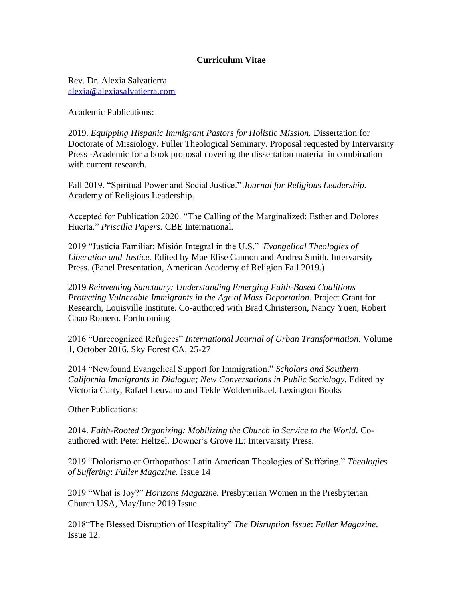## **Curriculum Vitae**

Rev. Dr. Alexia Salvatierra [alexia@alexiasalvatierra.com](mailto:asalvatierra@cluela.org)

Academic Publications:

2019. *Equipping Hispanic Immigrant Pastors for Holistic Mission.* Dissertation for Doctorate of Missiology. Fuller Theological Seminary. Proposal requested by Intervarsity Press -Academic for a book proposal covering the dissertation material in combination with current research.

Fall 2019. "Spiritual Power and Social Justice." *Journal for Religious Leadership.*  Academy of Religious Leadership.

Accepted for Publication 2020. "The Calling of the Marginalized: Esther and Dolores Huerta." *Priscilla Papers.* CBE International.

2019 "Justicia Familiar: Misión Integral in the U.S." *Evangelical Theologies of Liberation and Justice.* Edited by Mae Elise Cannon and Andrea Smith. Intervarsity Press. (Panel Presentation, American Academy of Religion Fall 2019.)

2019 *Reinventing Sanctuary: Understanding Emerging Faith-Based Coalitions Protecting Vulnerable Immigrants in the Age of Mass Deportation.* Project Grant for Research, Louisville Institute. Co-authored with Brad Christerson, Nancy Yuen, Robert Chao Romero. Forthcoming

2016 "Unrecognized Refugees" *International Journal of Urban Transformation.* Volume 1, October 2016. Sky Forest CA. 25-27

2014 "Newfound Evangelical Support for Immigration." *Scholars and Southern California Immigrants in Dialogue; New Conversations in Public Sociology.* Edited by Victoria Carty, Rafael Leuvano and Tekle Woldermikael. Lexington Books

Other Publications:

2014. *Faith-Rooted Organizing: Mobilizing the Church in Service to the World.* Coauthored with Peter Heltzel. Downer's Grove IL: Intervarsity Press.

2019 "Dolorismo or Orthopathos: Latin American Theologies of Suffering." *Theologies of Suffering*: *Fuller Magazine.* Issue 14

2019 "What is Joy?" *Horizons Magazine.* Presbyterian Women in the Presbyterian Church USA, May/June 2019 Issue.

2018"The Blessed Disruption of Hospitality" *The Disruption Issue*: *Fuller Magazine*. Issue 12.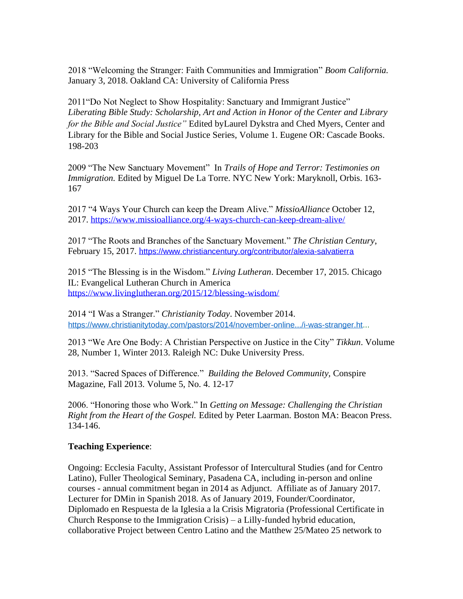2018 "Welcoming the Stranger: Faith Communities and Immigration" *Boom California.* January 3, 2018. Oakland CA: University of California Press

2011"Do Not Neglect to Show Hospitality: Sanctuary and Immigrant Justice" *Liberating Bible Study: Scholarship, Art and Action in Honor of the Center and Library for the Bible and Social Justice"* Edited byLaurel Dykstra and Ched Myers, Center and Library for the Bible and Social Justice Series, Volume 1. Eugene OR: Cascade Books. 198-203

2009 "The New Sanctuary Movement" In *Trails of Hope and Terror: Testimonies on Immigration.* Edited by Miguel De La Torre. NYC New York: Maryknoll, Orbis. 163- 167

2017 "4 Ways Your Church can keep the Dream Alive." *MissioAlliance* October 12, 2017.<https://www.missioalliance.org/4-ways-church-can-keep-dream-alive/>

2017 "The Roots and Branches of the Sanctuary Movement." *The Christian Century*, February 15, 2017. h[ttps://www.christiancentury.org/contributor/alexia-salvatierra](https://www.christiancentury.org/contributor/alexia-salvatierra)

2015 "The Blessing is in the Wisdom." *Living Lutheran*. December 17, 2015. Chicago IL: Evangelical Lutheran Church in America <https://www.livinglutheran.org/2015/12/blessing-wisdom/>

2014 "I Was a Stranger." *Christianity Today*. November 2014. https://www.christianitytoday.com/pastors/2014/november-online.../i-was-stranger.ht...

2013 "We Are One Body: A Christian Perspective on Justice in the City" *Tikkun*. Volume 28, Number 1, Winter 2013. Raleigh NC: Duke University Press.

2013. "Sacred Spaces of Difference." *Building the Beloved Community,* Conspire Magazine, Fall 2013. Volume 5, No. 4. 12-17

2006. "Honoring those who Work." In *Getting on Message: Challenging the Christian Right from the Heart of the Gospel.* Edited by Peter Laarman. Boston MA: Beacon Press. 134-146.

## **Teaching Experience**:

Ongoing: Ecclesia Faculty, Assistant Professor of Intercultural Studies (and for Centro Latino), Fuller Theological Seminary, Pasadena CA, including in-person and online courses - annual commitment began in 2014 as Adjunct. Affiliate as of January 2017. Lecturer for DMin in Spanish 2018. As of January 2019, Founder/Coordinator, Diplomado en Respuesta de la Iglesia a la Crisis Migratoria (Professional Certificate in Church Response to the Immigration Crisis) – a Lilly-funded hybrid education, collaborative Project between Centro Latino and the Matthew 25/Mateo 25 network to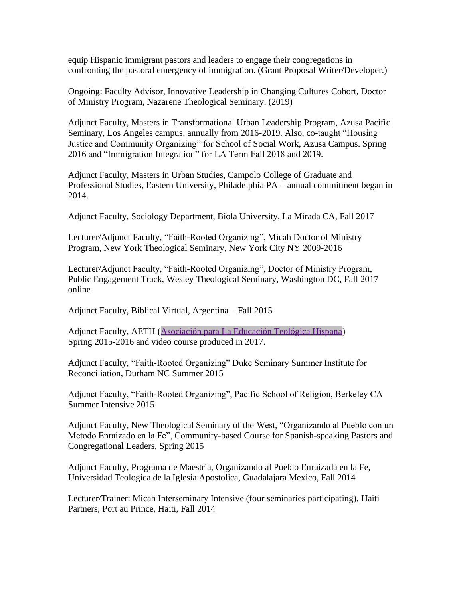equip Hispanic immigrant pastors and leaders to engage their congregations in confronting the pastoral emergency of immigration. (Grant Proposal Writer/Developer.)

Ongoing: Faculty Advisor, Innovative Leadership in Changing Cultures Cohort, Doctor of Ministry Program, Nazarene Theological Seminary. (2019)

Adjunct Faculty, Masters in Transformational Urban Leadership Program, Azusa Pacific Seminary, Los Angeles campus, annually from 2016-2019. Also, co-taught "Housing Justice and Community Organizing" for School of Social Work, Azusa Campus. Spring 2016 and "Immigration Integration" for LA Term Fall 2018 and 2019.

Adjunct Faculty, Masters in Urban Studies, Campolo College of Graduate and Professional Studies, Eastern University, Philadelphia PA – annual commitment began in 2014.

Adjunct Faculty, Sociology Department, Biola University, La Mirada CA, Fall 2017

Lecturer/Adjunct Faculty, "Faith-Rooted Organizing", Micah Doctor of Ministry Program, New York Theological Seminary, New York City NY 2009-2016

Lecturer/Adjunct Faculty, "Faith-Rooted Organizing", Doctor of Ministry Program, Public Engagement Track, Wesley Theological Seminary, Washington DC, Fall 2017 online

Adjunct Faculty, Biblical Virtual, Argentina – Fall 2015

Adjunct Faculty, AETH [\(Asociación para La Educación Teológica Hispana\)](http://www.aeth.org/en/) Spring 2015-2016 and video course produced in 2017.

Adjunct Faculty, "Faith-Rooted Organizing" Duke Seminary Summer Institute for Reconciliation, Durham NC Summer 2015

Adjunct Faculty, "Faith-Rooted Organizing", Pacific School of Religion, Berkeley CA Summer Intensive 2015

Adjunct Faculty, New Theological Seminary of the West, "Organizando al Pueblo con un Metodo Enraizado en la Fe", Community-based Course for Spanish-speaking Pastors and Congregational Leaders, Spring 2015

Adjunct Faculty, Programa de Maestria, Organizando al Pueblo Enraizada en la Fe, Universidad Teologica de la Iglesia Apostolica, Guadalajara Mexico, Fall 2014

Lecturer/Trainer: Micah Interseminary Intensive (four seminaries participating), Haiti Partners, Port au Prince, Haiti, Fall 2014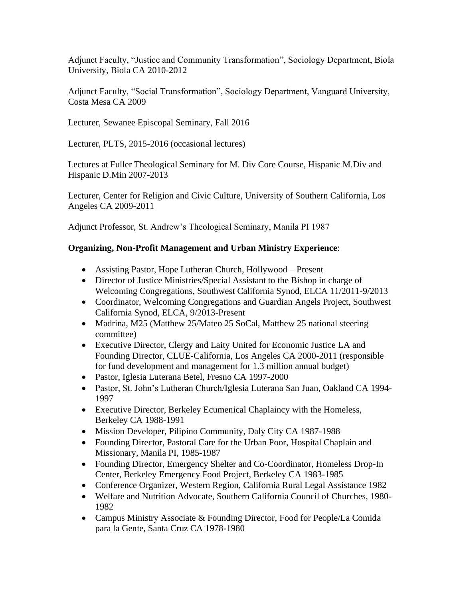Adjunct Faculty, "Justice and Community Transformation", Sociology Department, Biola University, Biola CA 2010-2012

Adjunct Faculty, "Social Transformation", Sociology Department, Vanguard University, Costa Mesa CA 2009

Lecturer, Sewanee Episcopal Seminary, Fall 2016

Lecturer, PLTS, 2015-2016 (occasional lectures)

Lectures at Fuller Theological Seminary for M. Div Core Course, Hispanic M.Div and Hispanic D.Min 2007-2013

Lecturer, Center for Religion and Civic Culture, University of Southern California, Los Angeles CA 2009-2011

Adjunct Professor, St. Andrew's Theological Seminary, Manila PI 1987

# **Organizing, Non-Profit Management and Urban Ministry Experience**:

- Assisting Pastor, Hope Lutheran Church, Hollywood Present
- Director of Justice Ministries/Special Assistant to the Bishop in charge of Welcoming Congregations, Southwest California Synod, ELCA 11/2011-9/2013
- Coordinator, Welcoming Congregations and Guardian Angels Project, Southwest California Synod, ELCA, 9/2013-Present
- Madrina, M25 (Matthew 25/Mateo 25 SoCal, Matthew 25 national steering committee)
- Executive Director, Clergy and Laity United for Economic Justice LA and Founding Director, CLUE-California, Los Angeles CA 2000-2011 (responsible for fund development and management for 1.3 million annual budget)
- Pastor, Iglesia Luterana Betel, Fresno CA 1997-2000
- Pastor, St. John's Lutheran Church/Iglesia Luterana San Juan, Oakland CA 1994- 1997
- Executive Director, Berkeley Ecumenical Chaplaincy with the Homeless, Berkeley CA 1988-1991
- Mission Developer, Pilipino Community, Daly City CA 1987-1988
- Founding Director, Pastoral Care for the Urban Poor, Hospital Chaplain and Missionary, Manila PI, 1985-1987
- Founding Director, Emergency Shelter and Co-Coordinator, Homeless Drop-In Center, Berkeley Emergency Food Project, Berkeley CA 1983-1985
- Conference Organizer, Western Region, California Rural Legal Assistance 1982
- Welfare and Nutrition Advocate, Southern California Council of Churches, 1980- 1982
- Campus Ministry Associate & Founding Director, Food for People/La Comida para la Gente, Santa Cruz CA 1978-1980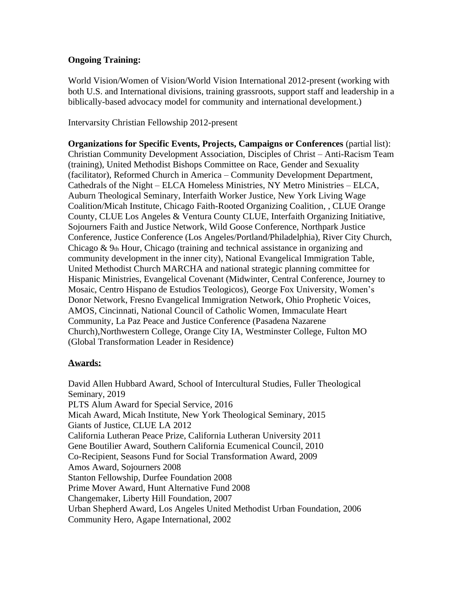## **Ongoing Training:**

World Vision/Women of Vision/World Vision International 2012-present (working with both U.S. and International divisions, training grassroots, support staff and leadership in a biblically-based advocacy model for community and international development.)

Intervarsity Christian Fellowship 2012-present

**Organizations for Specific Events, Projects, Campaigns or Conferences** (partial list): Christian Community Development Association, Disciples of Christ – Anti-Racism Team (training), United Methodist Bishops Committee on Race, Gender and Sexuality (facilitator), Reformed Church in America – Community Development Department, Cathedrals of the Night – ELCA Homeless Ministries, NY Metro Ministries – ELCA, Auburn Theological Seminary, Interfaith Worker Justice, New York Living Wage Coalition/Micah Institute, Chicago Faith-Rooted Organizing Coalition, , CLUE Orange County, CLUE Los Angeles & Ventura County CLUE, Interfaith Organizing Initiative, Sojourners Faith and Justice Network, Wild Goose Conference, Northpark Justice Conference, Justice Conference (Los Angeles/Portland/Philadelphia), River City Church, Chicago & 9th Hour, Chicago (training and technical assistance in organizing and community development in the inner city), National Evangelical Immigration Table, United Methodist Church MARCHA and national strategic planning committee for Hispanic Ministries, Evangelical Covenant (Midwinter, Central Conference, Journey to Mosaic, Centro Hispano de Estudios Teologicos), George Fox University, Women's Donor Network, Fresno Evangelical Immigration Network, Ohio Prophetic Voices, AMOS, Cincinnati, National Council of Catholic Women, Immaculate Heart Community, La Paz Peace and Justice Conference (Pasadena Nazarene Church),Northwestern College, Orange City IA, Westminster College, Fulton MO (Global Transformation Leader in Residence)

#### **Awards:**

David Allen Hubbard Award, School of Intercultural Studies, Fuller Theological Seminary, 2019 PLTS Alum Award for Special Service, 2016 Micah Award, Micah Institute, New York Theological Seminary, 2015 Giants of Justice, CLUE LA 2012 California Lutheran Peace Prize, California Lutheran University 2011 Gene Boutilier Award, Southern California Ecumenical Council, 2010 Co-Recipient, Seasons Fund for Social Transformation Award, 2009 Amos Award, Sojourners 2008 Stanton Fellowship, Durfee Foundation 2008 Prime Mover Award, Hunt Alternative Fund 2008 Changemaker, Liberty Hill Foundation, 2007 Urban Shepherd Award, Los Angeles United Methodist Urban Foundation, 2006 Community Hero, Agape International, 2002